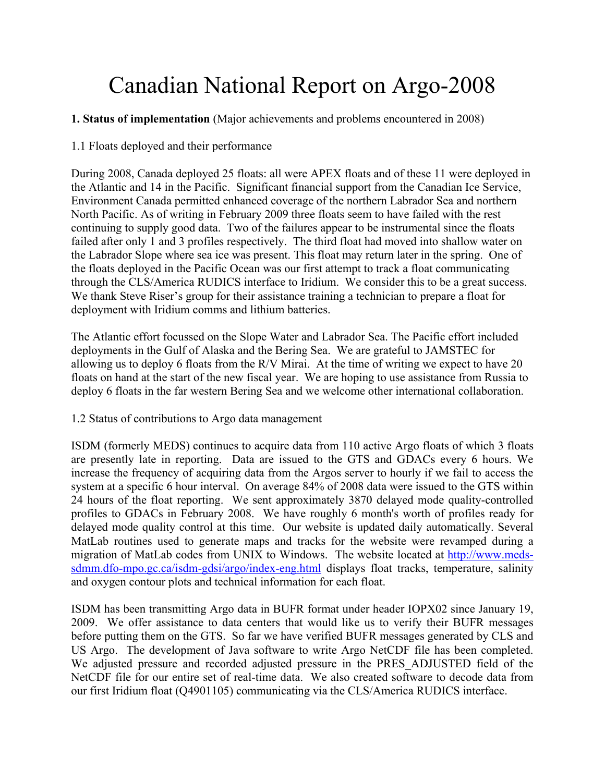# Canadian National Report on Argo-2008

# **1. Status of implementation** (Major achievements and problems encountered in 2008)

1.1 Floats deployed and their performance

During 2008, Canada deployed 25 floats: all were APEX floats and of these 11 were deployed in the Atlantic and 14 in the Pacific. Significant financial support from the Canadian Ice Service, Environment Canada permitted enhanced coverage of the northern Labrador Sea and northern North Pacific. As of writing in February 2009 three floats seem to have failed with the rest continuing to supply good data. Two of the failures appear to be instrumental since the floats failed after only 1 and 3 profiles respectively. The third float had moved into shallow water on the Labrador Slope where sea ice was present. This float may return later in the spring. One of the floats deployed in the Pacific Ocean was our first attempt to track a float communicating through the CLS/America RUDICS interface to Iridium. We consider this to be a great success. We thank Steve Riser's group for their assistance training a technician to prepare a float for deployment with Iridium comms and lithium batteries.

The Atlantic effort focussed on the Slope Water and Labrador Sea. The Pacific effort included deployments in the Gulf of Alaska and the Bering Sea. We are grateful to JAMSTEC for allowing us to deploy 6 floats from the R/V Mirai. At the time of writing we expect to have 20 floats on hand at the start of the new fiscal year. We are hoping to use assistance from Russia to deploy 6 floats in the far western Bering Sea and we welcome other international collaboration.

# 1.2 Status of contributions to Argo data management

ISDM (formerly MEDS) continues to acquire data from 110 active Argo floats of which 3 floats are presently late in reporting. Data are issued to the GTS and GDACs every 6 hours. We increase the frequency of acquiring data from the Argos server to hourly if we fail to access the system at a specific 6 hour interval. On average 84% of 2008 data were issued to the GTS within 24 hours of the float reporting. We sent approximately 3870 delayed mode quality-controlled profiles to GDACs in February 2008. We have roughly 6 month's worth of profiles ready for delayed mode quality control at this time. Our website is updated daily automatically. Several MatLab routines used to generate maps and tracks for the website were revamped during a migration of MatLab codes from UNIX to Windows. The website located at http://www.medssdmm.dfo-mpo.gc.ca/isdm-gdsi/argo/index-eng.html displays float tracks, temperature, salinity and oxygen contour plots and technical information for each float.

ISDM has been transmitting Argo data in BUFR format under header IOPX02 since January 19, 2009. We offer assistance to data centers that would like us to verify their BUFR messages before putting them on the GTS. So far we have verified BUFR messages generated by CLS and US Argo. The development of Java software to write Argo NetCDF file has been completed. We adjusted pressure and recorded adjusted pressure in the PRES\_ADJUSTED field of the NetCDF file for our entire set of real-time data. We also created software to decode data from our first Iridium float (Q4901105) communicating via the CLS/America RUDICS interface.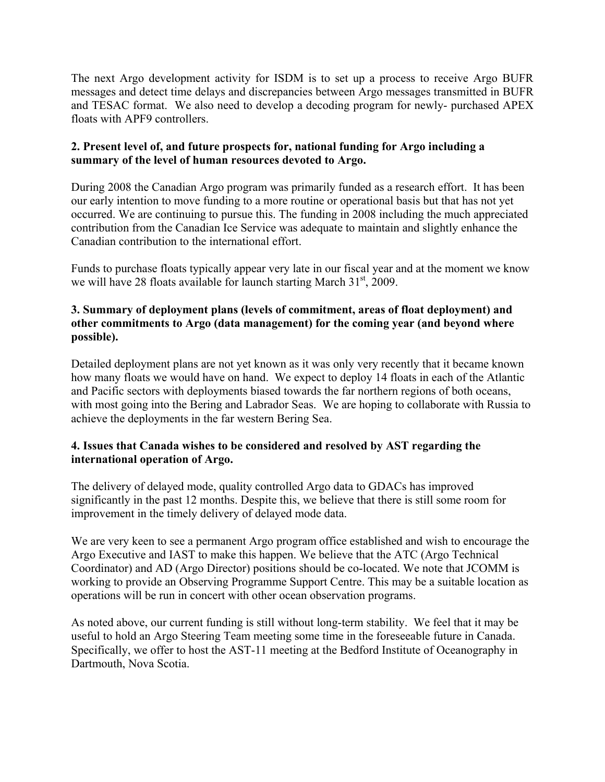The next Argo development activity for ISDM is to set up a process to receive Argo BUFR messages and detect time delays and discrepancies between Argo messages transmitted in BUFR and TESAC format. We also need to develop a decoding program for newly- purchased APEX floats with APF9 controllers.

#### **2. Present level of, and future prospects for, national funding for Argo including a summary of the level of human resources devoted to Argo.**

During 2008 the Canadian Argo program was primarily funded as a research effort. It has been our early intention to move funding to a more routine or operational basis but that has not yet occurred. We are continuing to pursue this. The funding in 2008 including the much appreciated contribution from the Canadian Ice Service was adequate to maintain and slightly enhance the Canadian contribution to the international effort.

Funds to purchase floats typically appear very late in our fiscal year and at the moment we know we will have 28 floats available for launch starting March  $31<sup>st</sup>$ , 2009.

# **3. Summary of deployment plans (levels of commitment, areas of float deployment) and other commitments to Argo (data management) for the coming year (and beyond where possible).**

Detailed deployment plans are not yet known as it was only very recently that it became known how many floats we would have on hand. We expect to deploy 14 floats in each of the Atlantic and Pacific sectors with deployments biased towards the far northern regions of both oceans, with most going into the Bering and Labrador Seas. We are hoping to collaborate with Russia to achieve the deployments in the far western Bering Sea.

# **4. Issues that Canada wishes to be considered and resolved by AST regarding the international operation of Argo.**

The delivery of delayed mode, quality controlled Argo data to GDACs has improved significantly in the past 12 months. Despite this, we believe that there is still some room for improvement in the timely delivery of delayed mode data.

We are very keen to see a permanent Argo program office established and wish to encourage the Argo Executive and IAST to make this happen. We believe that the ATC (Argo Technical Coordinator) and AD (Argo Director) positions should be co-located. We note that JCOMM is working to provide an Observing Programme Support Centre. This may be a suitable location as operations will be run in concert with other ocean observation programs.

As noted above, our current funding is still without long-term stability. We feel that it may be useful to hold an Argo Steering Team meeting some time in the foreseeable future in Canada. Specifically, we offer to host the AST-11 meeting at the Bedford Institute of Oceanography in Dartmouth, Nova Scotia.